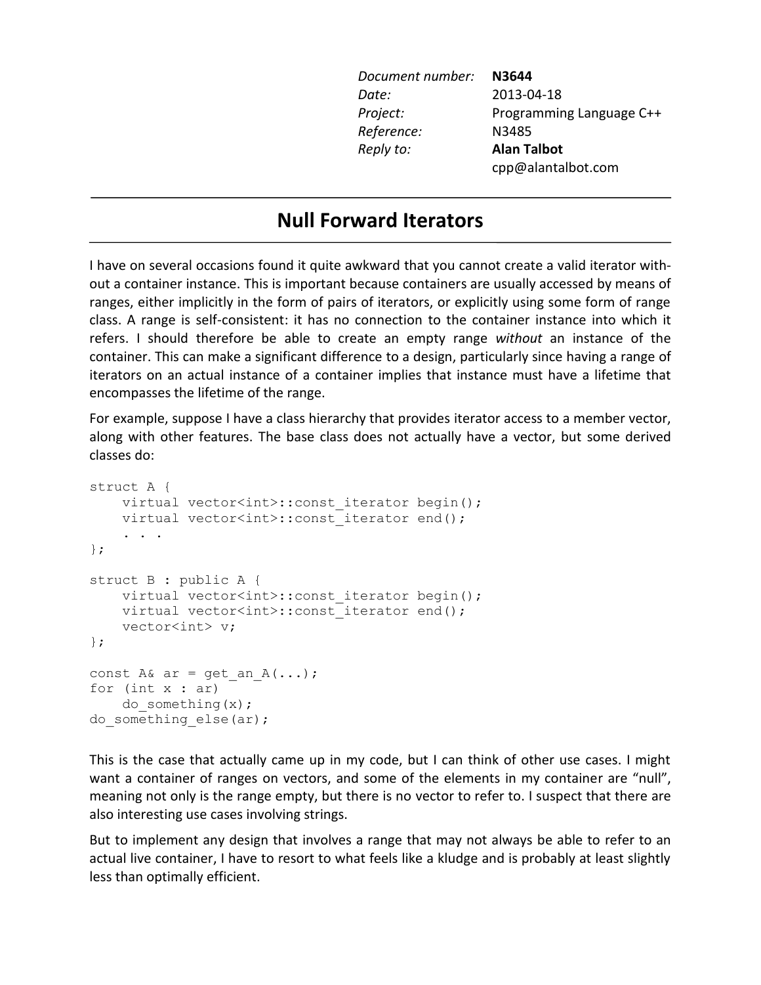| Document number: | N3644                    |
|------------------|--------------------------|
| Date:            | 2013-04-18               |
| Project:         | Programming Language C++ |
| Reference:       | N3485                    |
| Reply to:        | <b>Alan Talbot</b>       |
|                  | cpp@alantalbot.com       |
|                  |                          |

# **Null Forward Iterators**

I have on several occasions found it quite awkward that you cannot create a valid iterator without a container instance. This is important because containers are usually accessed by means of ranges, either implicitly in the form of pairs of iterators, or explicitly using some form of range class. A range is self-consistent: it has no connection to the container instance into which it refers. I should therefore be able to create an empty range *without* an instance of the container. This can make a significant difference to a design, particularly since having a range of iterators on an actual instance of a container implies that instance must have a lifetime that encompasses the lifetime of the range.

For example, suppose I have a class hierarchy that provides iterator access to a member vector, along with other features. The base class does not actually have a vector, but some derived classes do:

```
struct A {
    virtual vector<int>::const iterator begin();
    virtual vector<int>::const_iterator end();
 . . .
};
struct B : public A {
    virtual vector<int>::const iterator begin();
    virtual vector<int>:: const iterator end();
     vector<int> v;
};
const A& ar = get an A(\ldots);for (int x : ar)
    do something(x);
do something else(ar);
```
This is the case that actually came up in my code, but I can think of other use cases. I might want a container of ranges on vectors, and some of the elements in my container are "null", meaning not only is the range empty, but there is no vector to refer to. I suspect that there are also interesting use cases involving strings.

But to implement any design that involves a range that may not always be able to refer to an actual live container, I have to resort to what feels like a kludge and is probably at least slightly less than optimally efficient.